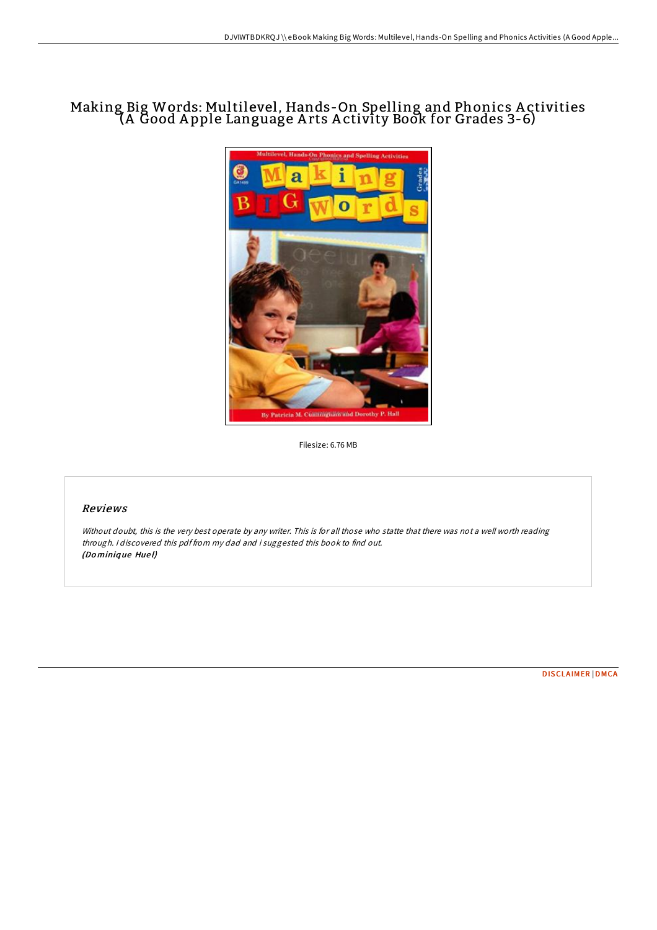# Making Big Words: Multilevel, Hands-On Spelling and Phonics A ctivities (A Good A pple Language A rts A ctivity Book for Grades 3-6)



Filesize: 6.76 MB

## Reviews

Without doubt, this is the very best operate by any writer. This is for all those who statte that there was not <sup>a</sup> well worth reading through. <sup>I</sup> discovered this pdf from my dad and i suggested this book to find out. (Do miniq ue Hue l)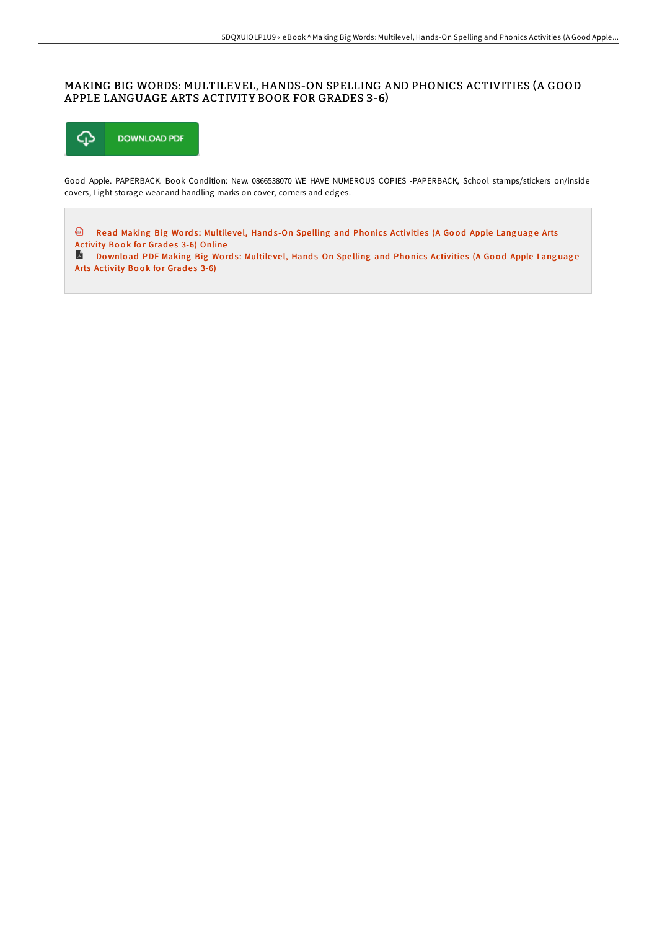### MAKING BIG WORDS: MULTILEVEL, HANDS-ON SPELLING AND PHONICS ACTIVITIES (A GOOD APPLE LANGUAGE ARTS ACTIVITY BOOK FOR GRADES 3-6)



Good Apple. PAPERBACK. Book Condition: New. 0866538070 WE HAVE NUMEROUS COPIES -PAPERBACK, School stamps/stickers on/inside covers, Light storage wear and handling marks on cover, corners and edges.

⊕ Read Making Big Words: Multilevel, Hands-On Spelling and Phonics [Activitie](http://almighty24.tech/making-big-words-multilevel-hands-on-spelling-an.html)s (A Good Apple Language Arts Activity Book for Grades 3-6) Online

Do wnload PDF Making Big Words: Multilevel, Hands-On Spelling and Phonics [Activitie](http://almighty24.tech/making-big-words-multilevel-hands-on-spelling-an.html)s (A Good Apple Language Arts Activity Book for Grades 3-6)